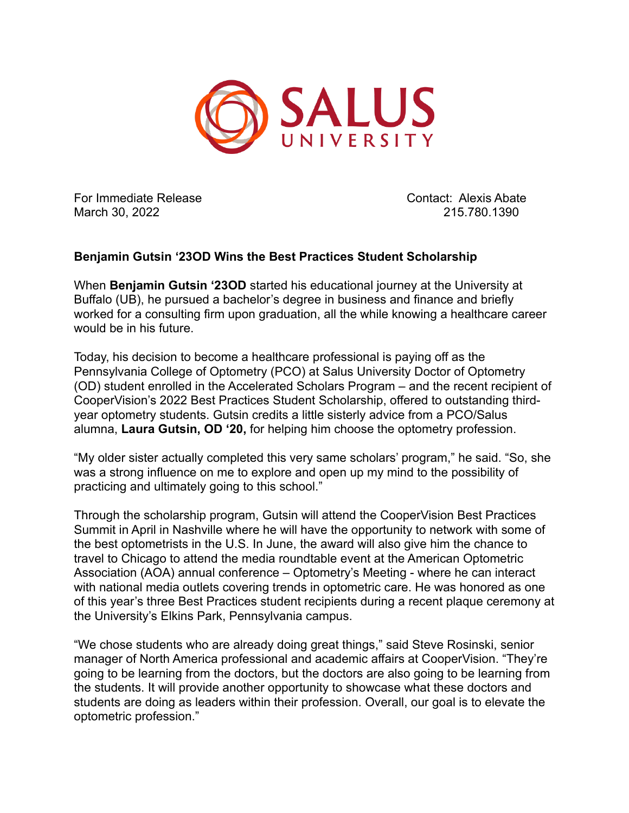

For Immediate Release Contact: Alexis Abate March 30, 2022 215.780.1390

## **Benjamin Gutsin '23OD Wins the Best Practices Student Scholarship**

When **Benjamin Gutsin '23OD** started his educational journey at the University at Buffalo (UB), he pursued a bachelor's degree in business and finance and briefly worked for a consulting firm upon graduation, all the while knowing a healthcare career would be in his future.

Today, his decision to become a healthcare professional is paying off as the Pennsylvania College of Optometry (PCO) at Salus University Doctor of Optometry (OD) student enrolled in the Accelerated Scholars Program – and the recent recipient of CooperVision's 2022 Best Practices Student Scholarship, offered to outstanding thirdyear optometry students. Gutsin credits a little sisterly advice from a PCO/Salus alumna, **Laura Gutsin, OD '20,** for helping him choose the optometry profession.

"My older sister actually completed this very same scholars' program," he said. "So, she was a strong influence on me to explore and open up my mind to the possibility of practicing and ultimately going to this school."

Through the scholarship program, Gutsin will attend the CooperVision Best Practices Summit in April in Nashville where he will have the opportunity to network with some of the best optometrists in the U.S. In June, the award will also give him the chance to travel to Chicago to attend the media roundtable event at the American Optometric Association (AOA) annual conference – Optometry's Meeting - where he can interact with national media outlets covering trends in optometric care. He was honored as one of this year's three Best Practices student recipients during a recent plaque ceremony at the University's Elkins Park, Pennsylvania campus.

"We chose students who are already doing great things," said Steve Rosinski, senior manager of North America professional and academic affairs at CooperVision. "They're going to be learning from the doctors, but the doctors are also going to be learning from the students. It will provide another opportunity to showcase what these doctors and students are doing as leaders within their profession. Overall, our goal is to elevate the optometric profession."